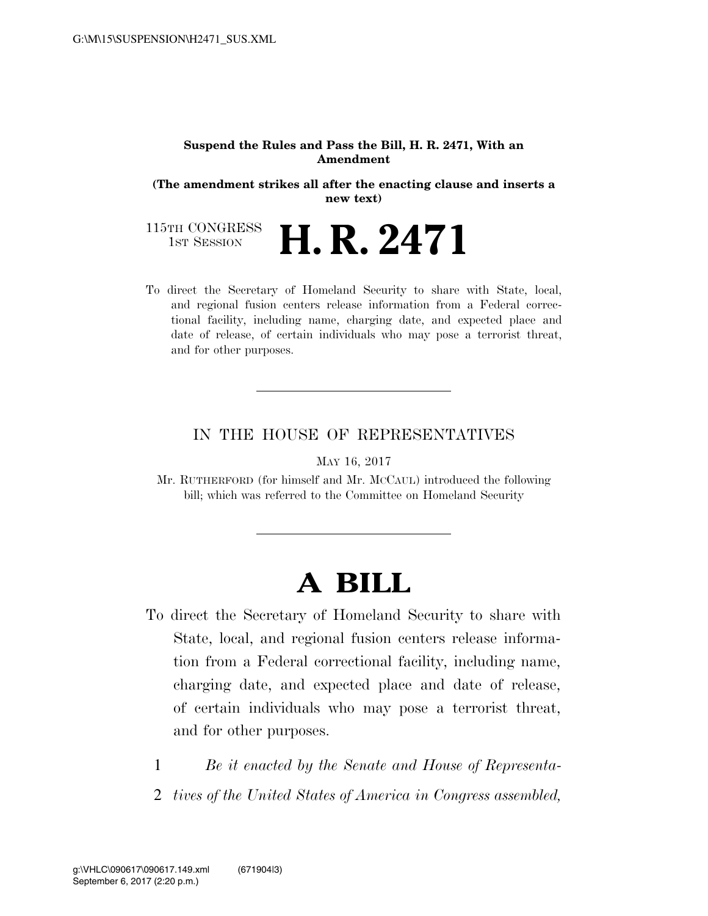#### **Suspend the Rules and Pass the Bill, H. R. 2471, With an Amendment**

**(The amendment strikes all after the enacting clause and inserts a new text)** 

115TH CONGRESS<br>1st Session 1ST SESSION **H. R. 2471**

To direct the Secretary of Homeland Security to share with State, local, and regional fusion centers release information from a Federal correctional facility, including name, charging date, and expected place and date of release, of certain individuals who may pose a terrorist threat, and for other purposes.

## IN THE HOUSE OF REPRESENTATIVES

MAY 16, 2017

Mr. RUTHERFORD (for himself and Mr. MCCAUL) introduced the following bill; which was referred to the Committee on Homeland Security

# **A BILL**

- To direct the Secretary of Homeland Security to share with State, local, and regional fusion centers release information from a Federal correctional facility, including name, charging date, and expected place and date of release, of certain individuals who may pose a terrorist threat, and for other purposes.
	- 1 *Be it enacted by the Senate and House of Representa-*
	- 2 *tives of the United States of America in Congress assembled,*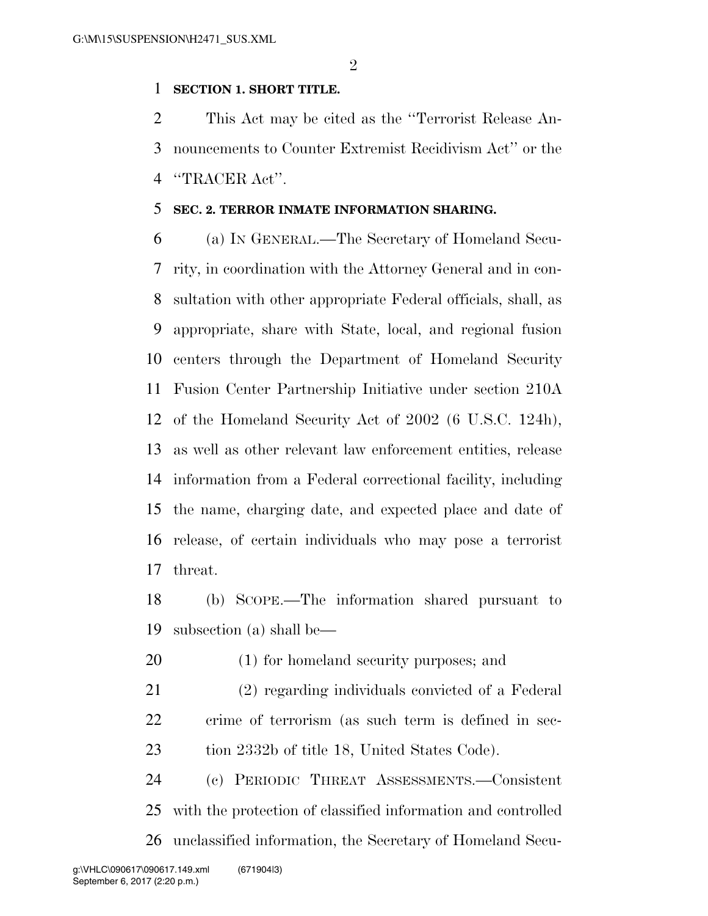### **SECTION 1. SHORT TITLE.**

 This Act may be cited as the ''Terrorist Release An- nouncements to Counter Extremist Recidivism Act'' or the ''TRACER Act''.

### **SEC. 2. TERROR INMATE INFORMATION SHARING.**

 (a) IN GENERAL.—The Secretary of Homeland Secu- rity, in coordination with the Attorney General and in con- sultation with other appropriate Federal officials, shall, as appropriate, share with State, local, and regional fusion centers through the Department of Homeland Security Fusion Center Partnership Initiative under section 210A of the Homeland Security Act of 2002 (6 U.S.C. 124h), as well as other relevant law enforcement entities, release information from a Federal correctional facility, including the name, charging date, and expected place and date of release, of certain individuals who may pose a terrorist threat.

 (b) SCOPE.—The information shared pursuant to subsection (a) shall be—

(1) for homeland security purposes; and

 (2) regarding individuals convicted of a Federal crime of terrorism (as such term is defined in sec-23 tion 2332b of title 18, United States Code).

 (c) PERIODIC THREAT ASSESSMENTS.—Consistent with the protection of classified information and controlled unclassified information, the Secretary of Homeland Secu